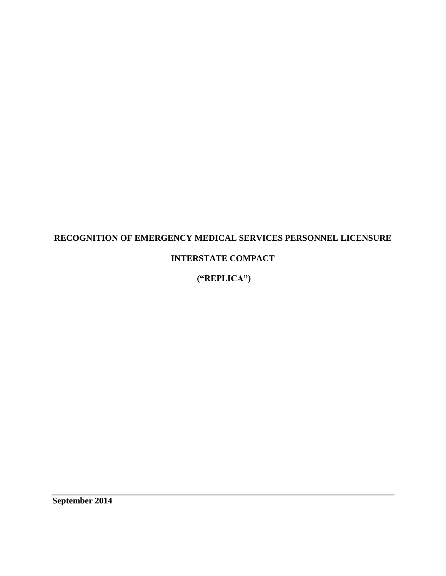# **RECOGNITION OF EMERGENCY MEDICAL SERVICES PERSONNEL LICENSURE**

# **INTERSTATE COMPACT**

**("REPLICA")**

**September 2014**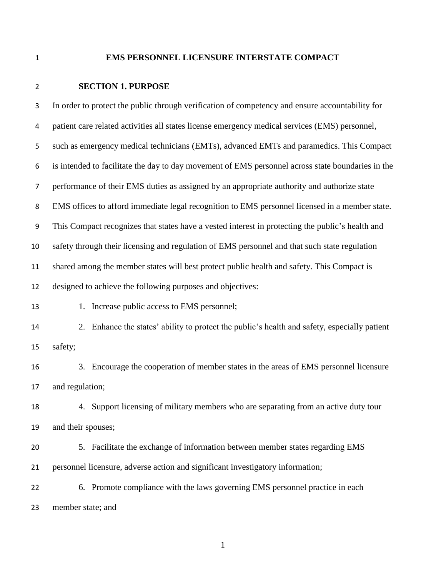# **EMS PERSONNEL LICENSURE INTERSTATE COMPACT**

# **SECTION 1. PURPOSE**

| $\mathbf{3}$     | In order to protect the public through verification of competency and ensure accountability for   |
|------------------|---------------------------------------------------------------------------------------------------|
| 4                | patient care related activities all states license emergency medical services (EMS) personnel,    |
| 5                | such as emergency medical technicians (EMTs), advanced EMTs and paramedics. This Compact          |
| 6                | is intended to facilitate the day to day movement of EMS personnel across state boundaries in the |
| $\overline{7}$   | performance of their EMS duties as assigned by an appropriate authority and authorize state       |
| 8                | EMS offices to afford immediate legal recognition to EMS personnel licensed in a member state.    |
| $\boldsymbol{9}$ | This Compact recognizes that states have a vested interest in protecting the public's health and  |
| 10               | safety through their licensing and regulation of EMS personnel and that such state regulation     |
| 11               | shared among the member states will best protect public health and safety. This Compact is        |
| 12               | designed to achieve the following purposes and objectives:                                        |
| 13               | Increase public access to EMS personnel;<br>1.                                                    |
| 14               | 2. Enhance the states' ability to protect the public's health and safety, especially patient      |
| 15               | safety;                                                                                           |
| 16               | 3. Encourage the cooperation of member states in the areas of EMS personnel licensure             |
| 17               | and regulation;                                                                                   |
| 18               | 4. Support licensing of military members who are separating from an active duty tour              |
| 19               | and their spouses;                                                                                |
| 20               | 5. Facilitate the exchange of information between member states regarding EMS                     |
| 21               | personnel licensure, adverse action and significant investigatory information;                    |
| 22               | 6. Promote compliance with the laws governing EMS personnel practice in each                      |
| 23               | member state; and                                                                                 |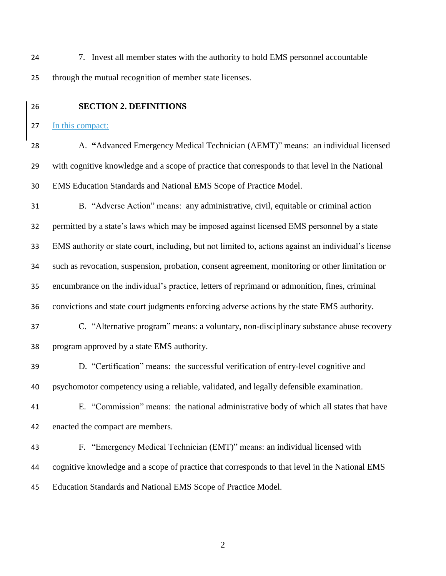7. Invest all member states with the authority to hold EMS personnel accountable through the mutual recognition of member state licenses.

**SECTION 2. DEFINITIONS**

In this compact:

 A. **"**Advanced Emergency Medical Technician (AEMT)" means: an individual licensed with cognitive knowledge and a scope of practice that corresponds to that level in the National EMS Education Standards and National EMS Scope of Practice Model.

 B. "Adverse Action" means: any administrative, civil, equitable or criminal action permitted by a state's laws which may be imposed against licensed EMS personnel by a state EMS authority or state court, including, but not limited to, actions against an individual's license such as revocation, suspension, probation, consent agreement, monitoring or other limitation or encumbrance on the individual's practice, letters of reprimand or admonition, fines, criminal convictions and state court judgments enforcing adverse actions by the state EMS authority. C. "Alternative program" means: a voluntary, non-disciplinary substance abuse recovery program approved by a state EMS authority.

 D. "Certification" means: the successful verification of entry-level cognitive and psychomotor competency using a reliable, validated, and legally defensible examination.

 E. "Commission" means: the national administrative body of which all states that have enacted the compact are members.

 F. "Emergency Medical Technician (EMT)" means: an individual licensed with cognitive knowledge and a scope of practice that corresponds to that level in the National EMS Education Standards and National EMS Scope of Practice Model.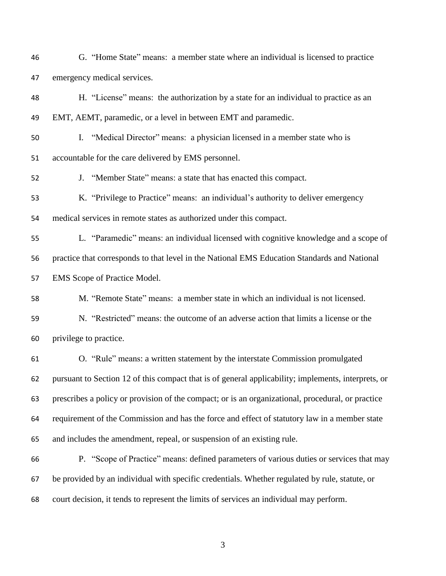G. "Home State" means: a member state where an individual is licensed to practice emergency medical services.

 H. "License" means: the authorization by a state for an individual to practice as an EMT, AEMT, paramedic, or a level in between EMT and paramedic.

 I. "Medical Director" means: a physician licensed in a member state who is accountable for the care delivered by EMS personnel.

J. "Member State" means: a state that has enacted this compact.

 K. "Privilege to Practice" means: an individual's authority to deliver emergency medical services in remote states as authorized under this compact.

 L. "Paramedic" means: an individual licensed with cognitive knowledge and a scope of practice that corresponds to that level in the National EMS Education Standards and National EMS Scope of Practice Model.

M. "Remote State" means: a member state in which an individual is not licensed.

 N. "Restricted" means: the outcome of an adverse action that limits a license or the privilege to practice.

 O. "Rule" means: a written statement by the interstate Commission promulgated pursuant to Section 12 of this compact that is of general applicability; implements, interprets, or prescribes a policy or provision of the compact; or is an organizational, procedural, or practice requirement of the Commission and has the force and effect of statutory law in a member state and includes the amendment, repeal, or suspension of an existing rule.

 P. "Scope of Practice" means: defined parameters of various duties or services that may be provided by an individual with specific credentials. Whether regulated by rule, statute, or court decision, it tends to represent the limits of services an individual may perform.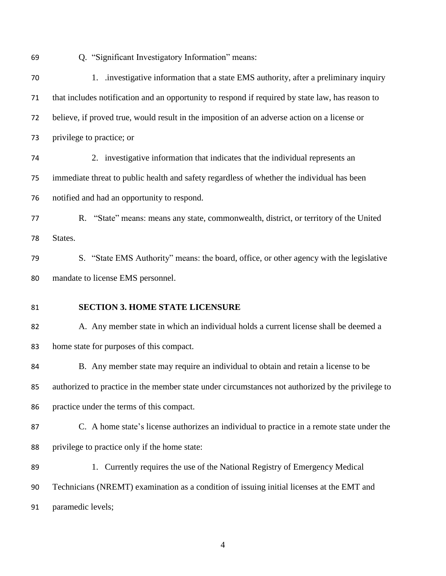Q. "Significant Investigatory Information" means:

| 70 | 1. investigative information that a state EMS authority, after a preliminary inquiry              |
|----|---------------------------------------------------------------------------------------------------|
| 71 | that includes notification and an opportunity to respond if required by state law, has reason to  |
| 72 | believe, if proved true, would result in the imposition of an adverse action on a license or      |
| 73 | privilege to practice; or                                                                         |
| 74 | 2. investigative information that indicates that the individual represents an                     |
| 75 | immediate threat to public health and safety regardless of whether the individual has been        |
| 76 | notified and had an opportunity to respond.                                                       |
| 77 | R. "State" means: means any state, commonwealth, district, or territory of the United             |
| 78 | States.                                                                                           |
| 79 | S. "State EMS Authority" means: the board, office, or other agency with the legislative           |
| 80 | mandate to license EMS personnel.                                                                 |
|    |                                                                                                   |
| 81 | <b>SECTION 3. HOME STATE LICENSURE</b>                                                            |
| 82 | A. Any member state in which an individual holds a current license shall be deemed a              |
| 83 | home state for purposes of this compact.                                                          |
| 84 | B. Any member state may require an individual to obtain and retain a license to be                |
| 85 | authorized to practice in the member state under circumstances not authorized by the privilege to |
| 86 | practice under the terms of this compact.                                                         |
| 87 | C. A home state's license authorizes an individual to practice in a remote state under the        |
| 88 | privilege to practice only if the home state:                                                     |
| 89 | 1. Currently requires the use of the National Registry of Emergency Medical                       |
| 90 | Technicians (NREMT) examination as a condition of issuing initial licenses at the EMT and         |
| 91 | paramedic levels;                                                                                 |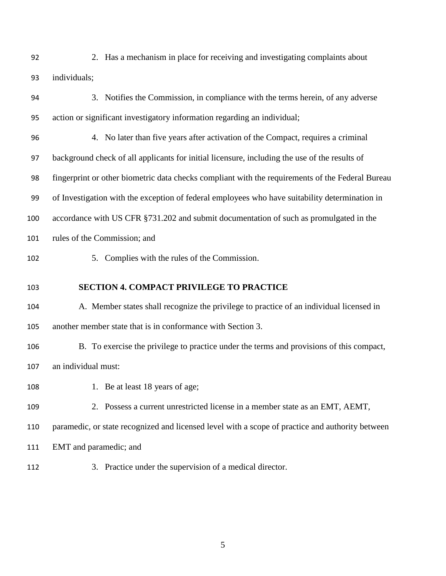2. Has a mechanism in place for receiving and investigating complaints about individuals;

- 3. Notifies the Commission, in compliance with the terms herein, of any adverse action or significant investigatory information regarding an individual;
- 4. No later than five years after activation of the Compact, requires a criminal background check of all applicants for initial licensure, including the use of the results of fingerprint or other biometric data checks compliant with the requirements of the Federal Bureau of Investigation with the exception of federal employees who have suitability determination in accordance with US CFR §731.202 and submit documentation of such as promulgated in the rules of the Commission; and
- 
- 

5. Complies with the rules of the Commission.

### **SECTION 4. COMPACT PRIVILEGE TO PRACTICE**

- A. Member states shall recognize the privilege to practice of an individual licensed in another member state that is in conformance with Section 3.
- B. To exercise the privilege to practice under the terms and provisions of this compact, an individual must:
- 108 1. Be at least 18 years of age;
- 2. Possess a current unrestricted license in a member state as an EMT, AEMT,
- paramedic, or state recognized and licensed level with a scope of practice and authority between
- EMT and paramedic; and
- 3. Practice under the supervision of a medical director.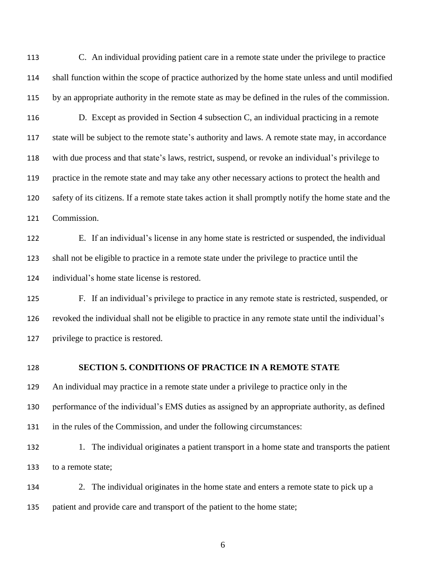C. An individual providing patient care in a remote state under the privilege to practice shall function within the scope of practice authorized by the home state unless and until modified by an appropriate authority in the remote state as may be defined in the rules of the commission.

 D. Except as provided in Section 4 subsection C, an individual practicing in a remote state will be subject to the remote state's authority and laws. A remote state may, in accordance with due process and that state's laws, restrict, suspend, or revoke an individual's privilege to practice in the remote state and may take any other necessary actions to protect the health and safety of its citizens. If a remote state takes action it shall promptly notify the home state and the Commission.

 E. If an individual's license in any home state is restricted or suspended, the individual shall not be eligible to practice in a remote state under the privilege to practice until the individual's home state license is restored.

 F. If an individual's privilege to practice in any remote state is restricted, suspended, or revoked the individual shall not be eligible to practice in any remote state until the individual's privilege to practice is restored.

### **SECTION 5. CONDITIONS OF PRACTICE IN A REMOTE STATE**

An individual may practice in a remote state under a privilege to practice only in the

performance of the individual's EMS duties as assigned by an appropriate authority, as defined

in the rules of the Commission, and under the following circumstances:

132 1. The individual originates a patient transport in a home state and transports the patient to a remote state;

 2. The individual originates in the home state and enters a remote state to pick up a patient and provide care and transport of the patient to the home state;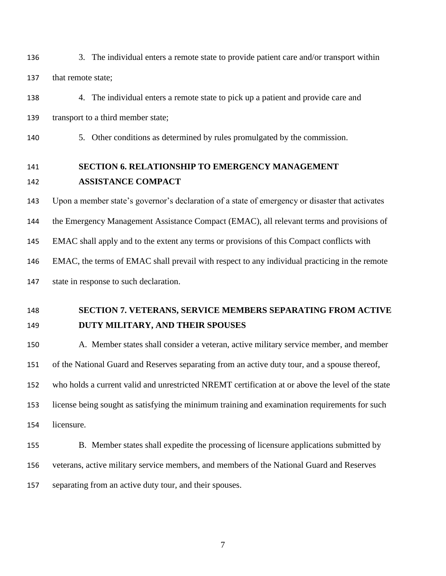3. The individual enters a remote state to provide patient care and/or transport within 137 that remote state;

 4. The individual enters a remote state to pick up a patient and provide care and transport to a third member state;

5. Other conditions as determined by rules promulgated by the commission.

# **SECTION 6. RELATIONSHIP TO EMERGENCY MANAGEMENT ASSISTANCE COMPACT**

Upon a member state's governor's declaration of a state of emergency or disaster that activates

the Emergency Management Assistance Compact (EMAC), all relevant terms and provisions of

EMAC shall apply and to the extent any terms or provisions of this Compact conflicts with

EMAC, the terms of EMAC shall prevail with respect to any individual practicing in the remote

state in response to such declaration.

# **SECTION 7. VETERANS, SERVICE MEMBERS SEPARATING FROM ACTIVE DUTY MILITARY, AND THEIR SPOUSES**

 A. Member states shall consider a veteran, active military service member, and member of the National Guard and Reserves separating from an active duty tour, and a spouse thereof, who holds a current valid and unrestricted NREMT certification at or above the level of the state license being sought as satisfying the minimum training and examination requirements for such licensure.

 B. Member states shall expedite the processing of licensure applications submitted by veterans, active military service members, and members of the National Guard and Reserves separating from an active duty tour, and their spouses.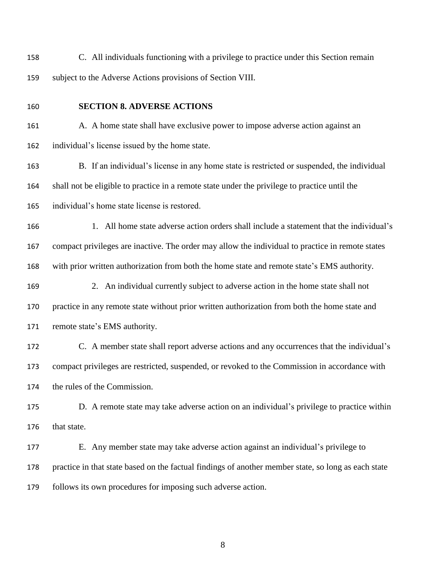C. All individuals functioning with a privilege to practice under this Section remain subject to the Adverse Actions provisions of Section VIII.

### **SECTION 8. ADVERSE ACTIONS**

 A. A home state shall have exclusive power to impose adverse action against an individual's license issued by the home state.

 B. If an individual's license in any home state is restricted or suspended, the individual shall not be eligible to practice in a remote state under the privilege to practice until the individual's home state license is restored.

166 1. All home state adverse action orders shall include a statement that the individual's compact privileges are inactive. The order may allow the individual to practice in remote states

with prior written authorization from both the home state and remote state's EMS authority.

 2. An individual currently subject to adverse action in the home state shall not practice in any remote state without prior written authorization from both the home state and remote state's EMS authority.

 C. A member state shall report adverse actions and any occurrences that the individual's compact privileges are restricted, suspended, or revoked to the Commission in accordance with the rules of the Commission.

 D. A remote state may take adverse action on an individual's privilege to practice within that state.

 E. Any member state may take adverse action against an individual's privilege to practice in that state based on the factual findings of another member state, so long as each state follows its own procedures for imposing such adverse action.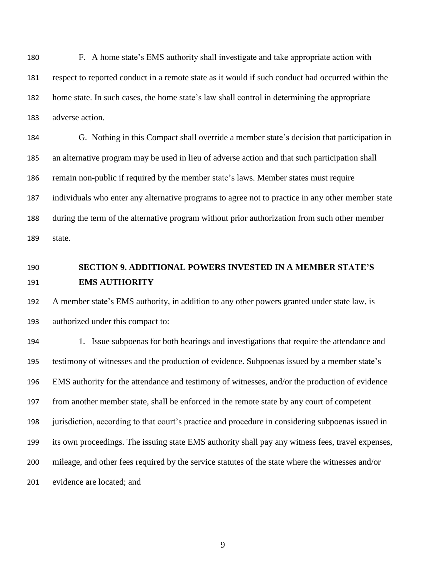F. A home state's EMS authority shall investigate and take appropriate action with respect to reported conduct in a remote state as it would if such conduct had occurred within the home state. In such cases, the home state's law shall control in determining the appropriate adverse action.

 G. Nothing in this Compact shall override a member state's decision that participation in an alternative program may be used in lieu of adverse action and that such participation shall remain non-public if required by the member state's laws. Member states must require individuals who enter any alternative programs to agree not to practice in any other member state during the term of the alternative program without prior authorization from such other member state.

# **SECTION 9. ADDITIONAL POWERS INVESTED IN A MEMBER STATE'S EMS AUTHORITY**

 A member state's EMS authority, in addition to any other powers granted under state law, is authorized under this compact to:

 1. Issue subpoenas for both hearings and investigations that require the attendance and testimony of witnesses and the production of evidence. Subpoenas issued by a member state's EMS authority for the attendance and testimony of witnesses, and/or the production of evidence from another member state, shall be enforced in the remote state by any court of competent jurisdiction, according to that court's practice and procedure in considering subpoenas issued in its own proceedings. The issuing state EMS authority shall pay any witness fees, travel expenses, mileage, and other fees required by the service statutes of the state where the witnesses and/or evidence are located; and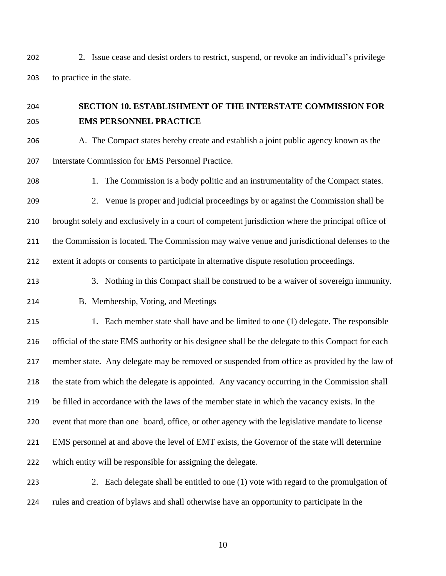2. Issue cease and desist orders to restrict, suspend, or revoke an individual's privilege to practice in the state.

# **SECTION 10. ESTABLISHMENT OF THE INTERSTATE COMMISSION FOR EMS PERSONNEL PRACTICE**

 A. The Compact states hereby create and establish a joint public agency known as the Interstate Commission for EMS Personnel Practice.

 1. The Commission is a body politic and an instrumentality of the Compact states. 2. Venue is proper and judicial proceedings by or against the Commission shall be

 brought solely and exclusively in a court of competent jurisdiction where the principal office of the Commission is located. The Commission may waive venue and jurisdictional defenses to the extent it adopts or consents to participate in alternative dispute resolution proceedings.

- 3. Nothing in this Compact shall be construed to be a waiver of sovereign immunity.
- 

B. Membership, Voting, and Meetings

215 1. Each member state shall have and be limited to one (1) delegate. The responsible official of the state EMS authority or his designee shall be the delegate to this Compact for each member state. Any delegate may be removed or suspended from office as provided by the law of the state from which the delegate is appointed. Any vacancy occurring in the Commission shall be filled in accordance with the laws of the member state in which the vacancy exists. In the event that more than one board, office, or other agency with the legislative mandate to license EMS personnel at and above the level of EMT exists, the Governor of the state will determine which entity will be responsible for assigning the delegate.

223 223 2. Each delegate shall be entitled to one (1) vote with regard to the promulgation of rules and creation of bylaws and shall otherwise have an opportunity to participate in the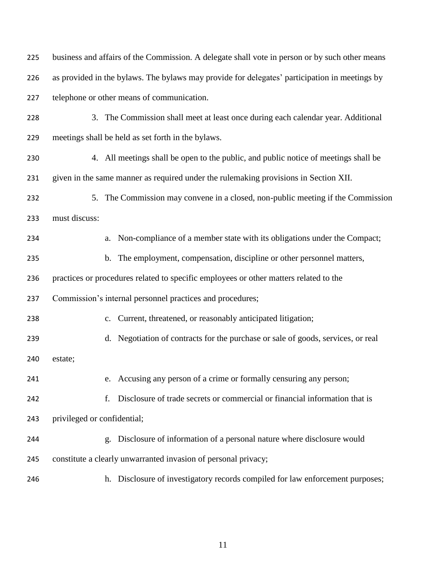| 225 | business and affairs of the Commission. A delegate shall vote in person or by such other means |
|-----|------------------------------------------------------------------------------------------------|
| 226 | as provided in the bylaws. The bylaws may provide for delegates' participation in meetings by  |
| 227 | telephone or other means of communication.                                                     |
| 228 | 3. The Commission shall meet at least once during each calendar year. Additional               |
| 229 | meetings shall be held as set forth in the bylaws.                                             |
| 230 | 4. All meetings shall be open to the public, and public notice of meetings shall be            |
| 231 | given in the same manner as required under the rulemaking provisions in Section XII.           |
| 232 | 5. The Commission may convene in a closed, non-public meeting if the Commission                |
| 233 | must discuss:                                                                                  |
| 234 | Non-compliance of a member state with its obligations under the Compact;<br>a.                 |
| 235 | The employment, compensation, discipline or other personnel matters,<br>$\mathbf b$ .          |
| 236 | practices or procedures related to specific employees or other matters related to the          |
| 237 | Commission's internal personnel practices and procedures;                                      |
| 238 | Current, threatened, or reasonably anticipated litigation;<br>c.                               |
| 239 | Negotiation of contracts for the purchase or sale of goods, services, or real<br>d.            |
| 240 | estate;                                                                                        |
| 241 | e. Accusing any person of a crime or formally censuring any person;                            |
| 242 | Disclosure of trade secrets or commercial or financial information that is<br>f.               |
| 243 | privileged or confidential;                                                                    |
| 244 | Disclosure of information of a personal nature where disclosure would<br>g.                    |
| 245 | constitute a clearly unwarranted invasion of personal privacy;                                 |
| 246 | Disclosure of investigatory records compiled for law enforcement purposes;<br>h.               |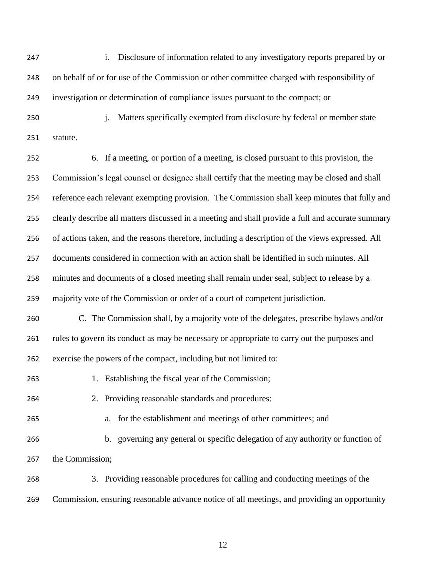i. Disclosure of information related to any investigatory reports prepared by or on behalf of or for use of the Commission or other committee charged with responsibility of investigation or determination of compliance issues pursuant to the compact; or

250 i. Matters specifically exempted from disclosure by federal or member state statute.

 6. If a meeting, or portion of a meeting, is closed pursuant to this provision, the Commission's legal counsel or designee shall certify that the meeting may be closed and shall reference each relevant exempting provision. The Commission shall keep minutes that fully and clearly describe all matters discussed in a meeting and shall provide a full and accurate summary of actions taken, and the reasons therefore, including a description of the views expressed. All documents considered in connection with an action shall be identified in such minutes. All minutes and documents of a closed meeting shall remain under seal, subject to release by a majority vote of the Commission or order of a court of competent jurisdiction. C. The Commission shall, by a majority vote of the delegates, prescribe bylaws and/or rules to govern its conduct as may be necessary or appropriate to carry out the purposes and exercise the powers of the compact, including but not limited to: 1. Establishing the fiscal year of the Commission; 2. Providing reasonable standards and procedures: a. for the establishment and meetings of other committees; and b. governing any general or specific delegation of any authority or function of

the Commission;

 3. Providing reasonable procedures for calling and conducting meetings of the Commission, ensuring reasonable advance notice of all meetings, and providing an opportunity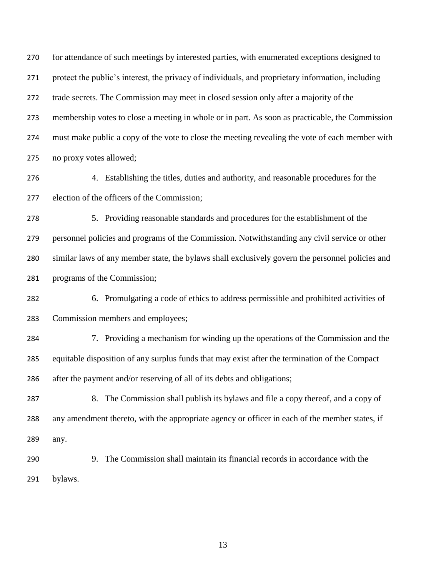for attendance of such meetings by interested parties, with enumerated exceptions designed to protect the public's interest, the privacy of individuals, and proprietary information, including trade secrets. The Commission may meet in closed session only after a majority of the membership votes to close a meeting in whole or in part. As soon as practicable, the Commission must make public a copy of the vote to close the meeting revealing the vote of each member with no proxy votes allowed;

 4. Establishing the titles, duties and authority, and reasonable procedures for the election of the officers of the Commission;

 5. Providing reasonable standards and procedures for the establishment of the personnel policies and programs of the Commission. Notwithstanding any civil service or other similar laws of any member state, the bylaws shall exclusively govern the personnel policies and programs of the Commission;

- 6. Promulgating a code of ethics to address permissible and prohibited activities of Commission members and employees;
- 7. Providing a mechanism for winding up the operations of the Commission and the equitable disposition of any surplus funds that may exist after the termination of the Compact after the payment and/or reserving of all of its debts and obligations;
- 8. The Commission shall publish its bylaws and file a copy thereof, and a copy of any amendment thereto, with the appropriate agency or officer in each of the member states, if any.
- 9. The Commission shall maintain its financial records in accordance with the bylaws.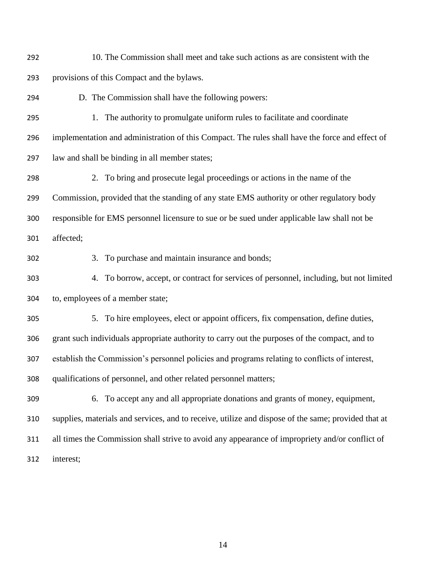- 10. The Commission shall meet and take such actions as are consistent with the provisions of this Compact and the bylaws.
- D. The Commission shall have the following powers:
- 1. The authority to promulgate uniform rules to facilitate and coordinate implementation and administration of this Compact. The rules shall have the force and effect of law and shall be binding in all member states;
- 2. To bring and prosecute legal proceedings or actions in the name of the Commission, provided that the standing of any state EMS authority or other regulatory body responsible for EMS personnel licensure to sue or be sued under applicable law shall not be
- affected;
- 

3. To purchase and maintain insurance and bonds;

- 4. To borrow, accept, or contract for services of personnel, including, but not limited to, employees of a member state;
- 5. To hire employees, elect or appoint officers, fix compensation, define duties, grant such individuals appropriate authority to carry out the purposes of the compact, and to establish the Commission's personnel policies and programs relating to conflicts of interest, qualifications of personnel, and other related personnel matters;
- 6. To accept any and all appropriate donations and grants of money, equipment, supplies, materials and services, and to receive, utilize and dispose of the same; provided that at all times the Commission shall strive to avoid any appearance of impropriety and/or conflict of interest;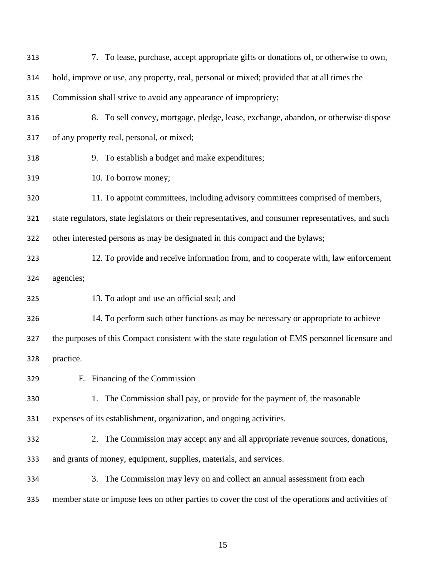| 313 | 7. To lease, purchase, accept appropriate gifts or donations of, or otherwise to own,                |
|-----|------------------------------------------------------------------------------------------------------|
| 314 | hold, improve or use, any property, real, personal or mixed; provided that at all times the          |
| 315 | Commission shall strive to avoid any appearance of impropriety;                                      |
| 316 | 8. To sell convey, mortgage, pledge, lease, exchange, abandon, or otherwise dispose                  |
| 317 | of any property real, personal, or mixed;                                                            |
| 318 | 9. To establish a budget and make expenditures;                                                      |
| 319 | 10. To borrow money;                                                                                 |
| 320 | 11. To appoint committees, including advisory committees comprised of members,                       |
| 321 | state regulators, state legislators or their representatives, and consumer representatives, and such |
| 322 | other interested persons as may be designated in this compact and the bylaws;                        |
| 323 | 12. To provide and receive information from, and to cooperate with, law enforcement                  |
| 324 | agencies;                                                                                            |
| 325 | 13. To adopt and use an official seal; and                                                           |
| 326 | 14. To perform such other functions as may be necessary or appropriate to achieve                    |
| 327 | the purposes of this Compact consistent with the state regulation of EMS personnel licensure and     |
| 328 | practice.                                                                                            |
| 329 | E. Financing of the Commission                                                                       |
| 330 | 1. The Commission shall pay, or provide for the payment of, the reasonable                           |
| 331 | expenses of its establishment, organization, and ongoing activities.                                 |
| 332 | 2. The Commission may accept any and all appropriate revenue sources, donations,                     |
| 333 | and grants of money, equipment, supplies, materials, and services.                                   |
| 334 | 3. The Commission may levy on and collect an annual assessment from each                             |
| 335 | member state or impose fees on other parties to cover the cost of the operations and activities of   |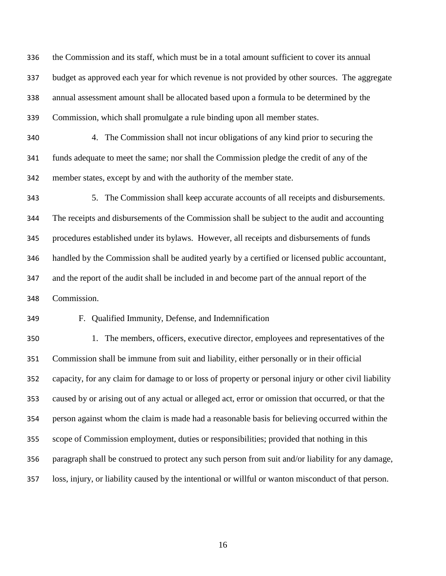the Commission and its staff, which must be in a total amount sufficient to cover its annual budget as approved each year for which revenue is not provided by other sources. The aggregate annual assessment amount shall be allocated based upon a formula to be determined by the Commission, which shall promulgate a rule binding upon all member states.

 4. The Commission shall not incur obligations of any kind prior to securing the funds adequate to meet the same; nor shall the Commission pledge the credit of any of the member states, except by and with the authority of the member state.

 5. The Commission shall keep accurate accounts of all receipts and disbursements. The receipts and disbursements of the Commission shall be subject to the audit and accounting procedures established under its bylaws. However, all receipts and disbursements of funds handled by the Commission shall be audited yearly by a certified or licensed public accountant, and the report of the audit shall be included in and become part of the annual report of the Commission.

F. Qualified Immunity, Defense, and Indemnification

 1. The members, officers, executive director, employees and representatives of the Commission shall be immune from suit and liability, either personally or in their official capacity, for any claim for damage to or loss of property or personal injury or other civil liability caused by or arising out of any actual or alleged act, error or omission that occurred, or that the person against whom the claim is made had a reasonable basis for believing occurred within the scope of Commission employment, duties or responsibilities; provided that nothing in this paragraph shall be construed to protect any such person from suit and/or liability for any damage, loss, injury, or liability caused by the intentional or willful or wanton misconduct of that person.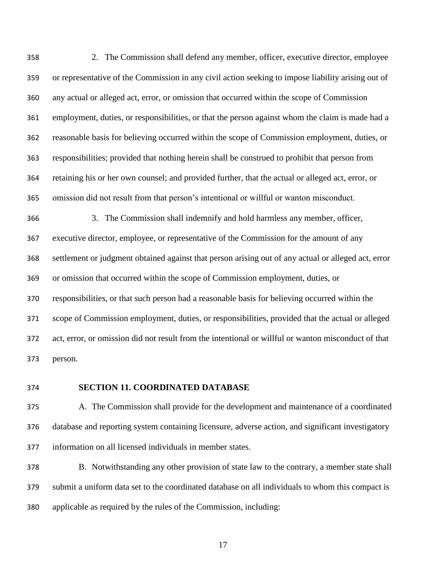2. The Commission shall defend any member, officer, executive director, employee or representative of the Commission in any civil action seeking to impose liability arising out of any actual or alleged act, error, or omission that occurred within the scope of Commission employment, duties, or responsibilities, or that the person against whom the claim is made had a reasonable basis for believing occurred within the scope of Commission employment, duties, or responsibilities; provided that nothing herein shall be construed to prohibit that person from retaining his or her own counsel; and provided further, that the actual or alleged act, error, or omission did not result from that person's intentional or willful or wanton misconduct.

 3. The Commission shall indemnify and hold harmless any member, officer, executive director, employee, or representative of the Commission for the amount of any settlement or judgment obtained against that person arising out of any actual or alleged act, error or omission that occurred within the scope of Commission employment, duties, or responsibilities, or that such person had a reasonable basis for believing occurred within the scope of Commission employment, duties, or responsibilities, provided that the actual or alleged act, error, or omission did not result from the intentional or willful or wanton misconduct of that person.

### **SECTION 11. COORDINATED DATABASE**

 A. The Commission shall provide for the development and maintenance of a coordinated database and reporting system containing licensure, adverse action, and significant investigatory information on all licensed individuals in member states.

 B. Notwithstanding any other provision of state law to the contrary, a member state shall submit a uniform data set to the coordinated database on all individuals to whom this compact is applicable as required by the rules of the Commission, including: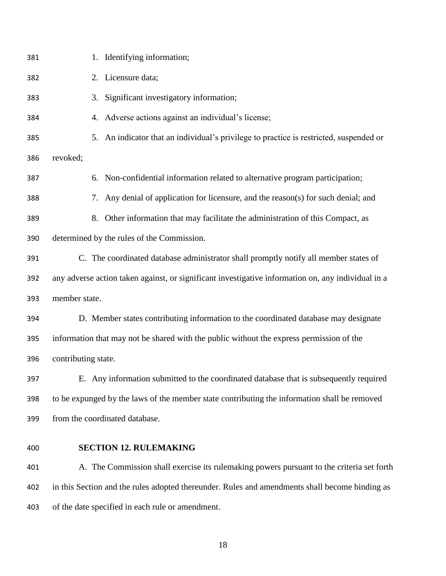| 381 | 1. Identifying information;                                                                        |
|-----|----------------------------------------------------------------------------------------------------|
| 382 | 2. Licensure data;                                                                                 |
| 383 | Significant investigatory information;<br>3.                                                       |
| 384 | 4. Adverse actions against an individual's license;                                                |
| 385 | 5. An indicator that an individual's privilege to practice is restricted, suspended or             |
| 386 | revoked;                                                                                           |
| 387 | 6. Non-confidential information related to alternative program participation;                      |
| 388 | 7. Any denial of application for licensure, and the reason(s) for such denial; and                 |
| 389 | Other information that may facilitate the administration of this Compact, as<br>8.                 |
| 390 | determined by the rules of the Commission.                                                         |
| 391 | C. The coordinated database administrator shall promptly notify all member states of               |
| 392 | any adverse action taken against, or significant investigative information on, any individual in a |
| 393 | member state.                                                                                      |
| 394 | D. Member states contributing information to the coordinated database may designate                |
| 395 | information that may not be shared with the public without the express permission of the           |
| 396 | contributing state.                                                                                |
| 397 | E. Any information submitted to the coordinated database that is subsequently required             |
| 398 | to be expunged by the laws of the member state contributing the information shall be removed       |
| 399 | from the coordinated database.                                                                     |
| 400 | <b>SECTION 12. RULEMAKING</b>                                                                      |
| 401 | A. The Commission shall exercise its rulemaking powers pursuant to the criteria set forth          |
| 402 | in this Section and the rules adopted thereunder. Rules and amendments shall become binding as     |
|     |                                                                                                    |

of the date specified in each rule or amendment.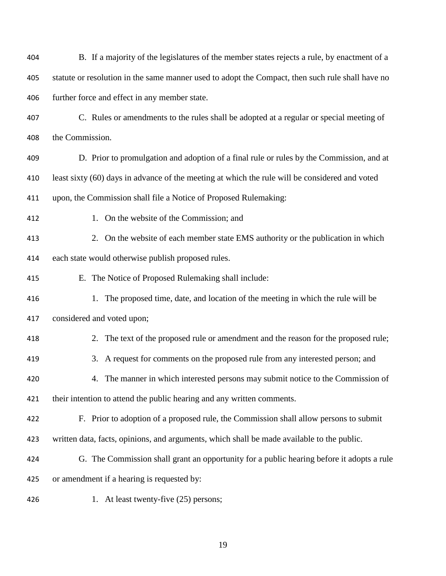| 404 | B. If a majority of the legislatures of the member states rejects a rule, by enactment of a      |
|-----|--------------------------------------------------------------------------------------------------|
| 405 | statute or resolution in the same manner used to adopt the Compact, then such rule shall have no |
| 406 | further force and effect in any member state.                                                    |
| 407 | C. Rules or amendments to the rules shall be adopted at a regular or special meeting of          |
| 408 | the Commission.                                                                                  |
| 409 | D. Prior to promulgation and adoption of a final rule or rules by the Commission, and at         |
| 410 | least sixty (60) days in advance of the meeting at which the rule will be considered and voted   |
| 411 | upon, the Commission shall file a Notice of Proposed Rulemaking:                                 |
| 412 | 1. On the website of the Commission; and                                                         |
| 413 | 2. On the website of each member state EMS authority or the publication in which                 |
| 414 | each state would otherwise publish proposed rules.                                               |
| 415 | E. The Notice of Proposed Rulemaking shall include:                                              |
| 416 | 1. The proposed time, date, and location of the meeting in which the rule will be                |
| 417 | considered and voted upon;                                                                       |
| 418 | 2. The text of the proposed rule or amendment and the reason for the proposed rule;              |
| 419 | 3. A request for comments on the proposed rule from any interested person; and                   |
| 420 | 4. The manner in which interested persons may submit notice to the Commission of                 |
| 421 | their intention to attend the public hearing and any written comments.                           |
| 422 | F. Prior to adoption of a proposed rule, the Commission shall allow persons to submit            |
| 423 | written data, facts, opinions, and arguments, which shall be made available to the public.       |
| 424 | G. The Commission shall grant an opportunity for a public hearing before it adopts a rule        |
| 425 | or amendment if a hearing is requested by:                                                       |
| 426 | 1. At least twenty-five (25) persons;                                                            |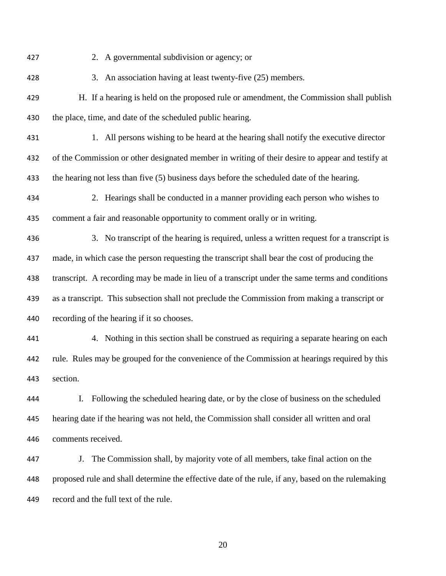2. A governmental subdivision or agency; or 3. An association having at least twenty-five (25) members. H. If a hearing is held on the proposed rule or amendment, the Commission shall publish 430 the place, time, and date of the scheduled public hearing. 1. All persons wishing to be heard at the hearing shall notify the executive director of the Commission or other designated member in writing of their desire to appear and testify at 433 the hearing not less than five (5) business days before the scheduled date of the hearing. 2. Hearings shall be conducted in a manner providing each person who wishes to comment a fair and reasonable opportunity to comment orally or in writing. 3. No transcript of the hearing is required, unless a written request for a transcript is made, in which case the person requesting the transcript shall bear the cost of producing the transcript. A recording may be made in lieu of a transcript under the same terms and conditions as a transcript. This subsection shall not preclude the Commission from making a transcript or recording of the hearing if it so chooses. 4. Nothing in this section shall be construed as requiring a separate hearing on each rule. Rules may be grouped for the convenience of the Commission at hearings required by this section. I. Following the scheduled hearing date, or by the close of business on the scheduled hearing date if the hearing was not held, the Commission shall consider all written and oral comments received. J. The Commission shall, by majority vote of all members, take final action on the proposed rule and shall determine the effective date of the rule, if any, based on the rulemaking record and the full text of the rule.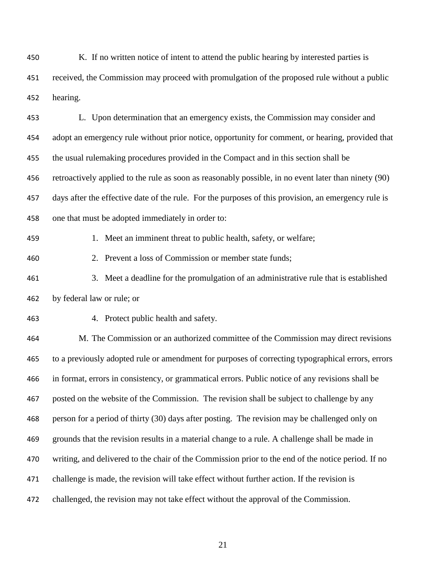K. If no written notice of intent to attend the public hearing by interested parties is received, the Commission may proceed with promulgation of the proposed rule without a public hearing.

 L. Upon determination that an emergency exists, the Commission may consider and adopt an emergency rule without prior notice, opportunity for comment, or hearing, provided that the usual rulemaking procedures provided in the Compact and in this section shall be retroactively applied to the rule as soon as reasonably possible, in no event later than ninety (90) days after the effective date of the rule. For the purposes of this provision, an emergency rule is one that must be adopted immediately in order to:

459 1. Meet an imminent threat to public health, safety, or welfare;

2. Prevent a loss of Commission or member state funds;

 3. Meet a deadline for the promulgation of an administrative rule that is established by federal law or rule; or

4. Protect public health and safety.

 M. The Commission or an authorized committee of the Commission may direct revisions to a previously adopted rule or amendment for purposes of correcting typographical errors, errors in format, errors in consistency, or grammatical errors. Public notice of any revisions shall be posted on the website of the Commission. The revision shall be subject to challenge by any person for a period of thirty (30) days after posting. The revision may be challenged only on grounds that the revision results in a material change to a rule. A challenge shall be made in writing, and delivered to the chair of the Commission prior to the end of the notice period. If no challenge is made, the revision will take effect without further action. If the revision is challenged, the revision may not take effect without the approval of the Commission.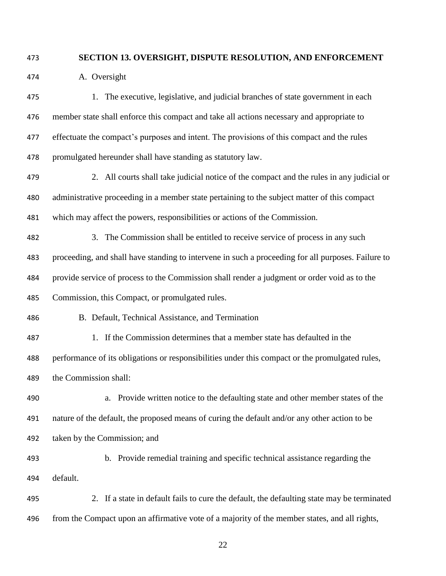### **SECTION 13. OVERSIGHT, DISPUTE RESOLUTION, AND ENFORCEMENT**

A. Oversight

 1. The executive, legislative, and judicial branches of state government in each member state shall enforce this compact and take all actions necessary and appropriate to 477 effectuate the compact's purposes and intent. The provisions of this compact and the rules promulgated hereunder shall have standing as statutory law.

 2. All courts shall take judicial notice of the compact and the rules in any judicial or administrative proceeding in a member state pertaining to the subject matter of this compact which may affect the powers, responsibilities or actions of the Commission.

 3. The Commission shall be entitled to receive service of process in any such proceeding, and shall have standing to intervene in such a proceeding for all purposes. Failure to provide service of process to the Commission shall render a judgment or order void as to the Commission, this Compact, or promulgated rules.

B. Default, Technical Assistance, and Termination

 1. If the Commission determines that a member state has defaulted in the performance of its obligations or responsibilities under this compact or the promulgated rules, the Commission shall:

 a. Provide written notice to the defaulting state and other member states of the nature of the default, the proposed means of curing the default and/or any other action to be taken by the Commission; and

 b. Provide remedial training and specific technical assistance regarding the default.

 2. If a state in default fails to cure the default, the defaulting state may be terminated from the Compact upon an affirmative vote of a majority of the member states, and all rights,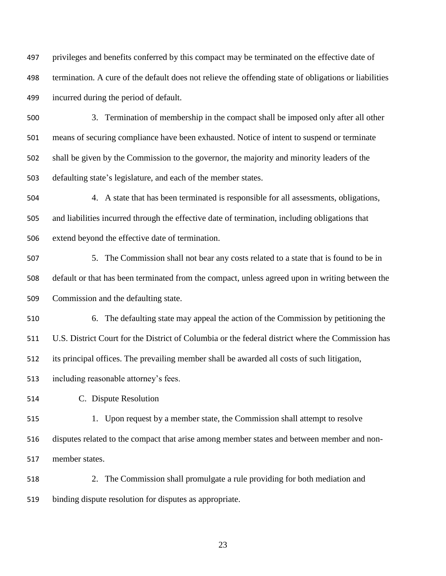privileges and benefits conferred by this compact may be terminated on the effective date of termination. A cure of the default does not relieve the offending state of obligations or liabilities incurred during the period of default.

 3. Termination of membership in the compact shall be imposed only after all other means of securing compliance have been exhausted. Notice of intent to suspend or terminate shall be given by the Commission to the governor, the majority and minority leaders of the defaulting state's legislature, and each of the member states.

 4. A state that has been terminated is responsible for all assessments, obligations, and liabilities incurred through the effective date of termination, including obligations that extend beyond the effective date of termination.

 5. The Commission shall not bear any costs related to a state that is found to be in default or that has been terminated from the compact, unless agreed upon in writing between the Commission and the defaulting state.

 6. The defaulting state may appeal the action of the Commission by petitioning the U.S. District Court for the District of Columbia or the federal district where the Commission has its principal offices. The prevailing member shall be awarded all costs of such litigation,

including reasonable attorney's fees.

C. Dispute Resolution

 1. Upon request by a member state, the Commission shall attempt to resolve disputes related to the compact that arise among member states and between member and non-member states.

 2. The Commission shall promulgate a rule providing for both mediation and binding dispute resolution for disputes as appropriate.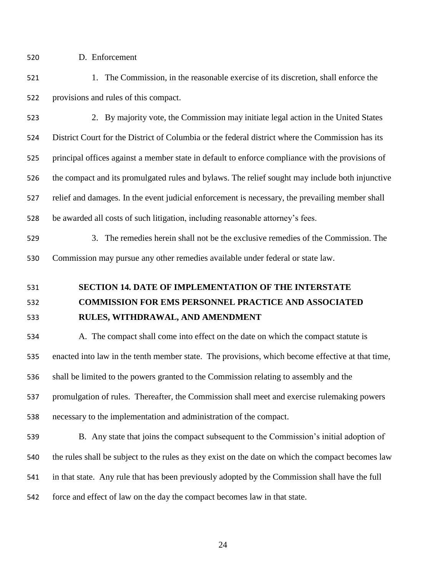D. Enforcement

- 1. The Commission, in the reasonable exercise of its discretion, shall enforce the provisions and rules of this compact.
- 2. By majority vote, the Commission may initiate legal action in the United States District Court for the District of Columbia or the federal district where the Commission has its principal offices against a member state in default to enforce compliance with the provisions of the compact and its promulgated rules and bylaws. The relief sought may include both injunctive relief and damages. In the event judicial enforcement is necessary, the prevailing member shall be awarded all costs of such litigation, including reasonable attorney's fees.
- 3. The remedies herein shall not be the exclusive remedies of the Commission. The Commission may pursue any other remedies available under federal or state law.
- **SECTION 14. DATE OF IMPLEMENTATION OF THE INTERSTATE**

# **COMMISSION FOR EMS PERSONNEL PRACTICE AND ASSOCIATED RULES, WITHDRAWAL, AND AMENDMENT**

 A. The compact shall come into effect on the date on which the compact statute is enacted into law in the tenth member state. The provisions, which become effective at that time, shall be limited to the powers granted to the Commission relating to assembly and the promulgation of rules. Thereafter, the Commission shall meet and exercise rulemaking powers necessary to the implementation and administration of the compact.

 B. Any state that joins the compact subsequent to the Commission's initial adoption of the rules shall be subject to the rules as they exist on the date on which the compact becomes law in that state. Any rule that has been previously adopted by the Commission shall have the full force and effect of law on the day the compact becomes law in that state.